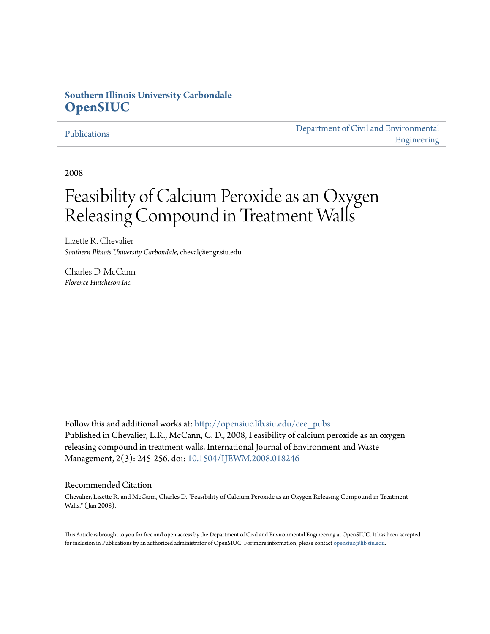## **Southern Illinois University Carbondale [OpenSIUC](http://opensiuc.lib.siu.edu?utm_source=opensiuc.lib.siu.edu%2Fcee_pubs%2F3&utm_medium=PDF&utm_campaign=PDFCoverPages)**

#### [Publications](http://opensiuc.lib.siu.edu/cee_pubs?utm_source=opensiuc.lib.siu.edu%2Fcee_pubs%2F3&utm_medium=PDF&utm_campaign=PDFCoverPages)

[Department of Civil and Environmental](http://opensiuc.lib.siu.edu/cee?utm_source=opensiuc.lib.siu.edu%2Fcee_pubs%2F3&utm_medium=PDF&utm_campaign=PDFCoverPages) [Engineering](http://opensiuc.lib.siu.edu/cee?utm_source=opensiuc.lib.siu.edu%2Fcee_pubs%2F3&utm_medium=PDF&utm_campaign=PDFCoverPages)

2008

# Feasibility of Calcium Peroxide as an Oxygen Releasing Compound in Treatment Walls

Lizette R. Chevalier *Southern Illinois University Carbondale*, cheval@engr.siu.edu

Charles D. McCann *Florence Hutcheson Inc.*

Follow this and additional works at: [http://opensiuc.lib.siu.edu/cee\\_pubs](http://opensiuc.lib.siu.edu/cee_pubs?utm_source=opensiuc.lib.siu.edu%2Fcee_pubs%2F3&utm_medium=PDF&utm_campaign=PDFCoverPages) Published in Chevalier, L.R., McCann, C. D., 2008, Feasibility of calcium peroxide as an oxygen releasing compound in treatment walls, International Journal of Environment and Waste Management, 2(3): 245-256. doi: [10.1504/IJEWM.2008.018246](http://dx.doi.org/10.1504/IJEWM.2008.018246)

#### Recommended Citation

Chevalier, Lizette R. and McCann, Charles D. "Feasibility of Calcium Peroxide as an Oxygen Releasing Compound in Treatment Walls." ( Jan 2008).

This Article is brought to you for free and open access by the Department of Civil and Environmental Engineering at OpenSIUC. It has been accepted for inclusion in Publications by an authorized administrator of OpenSIUC. For more information, please contact [opensiuc@lib.siu.edu.](mailto:opensiuc@lib.siu.edu)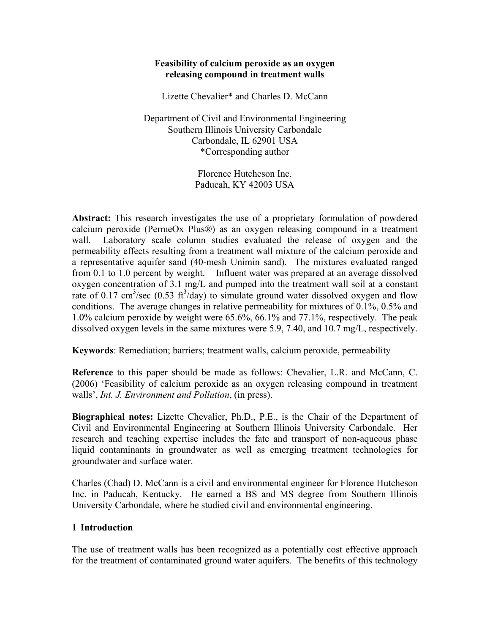#### **Feasibility of calcium peroxide as an oxygen releasing compound in treatment walls**

Lizette Chevalier\* and Charles D. McCann

Department of Civil and Environmental Engineering Southern Illinois University Carbondale Carbondale, IL 62901 USA \*Corresponding author

> Florence Hutcheson Inc. Paducah, KY 42003 USA

**Abstract:** This research investigates the use of a proprietary formulation of powdered calcium peroxide (PermeOx Plus®) as an oxygen releasing compound in a treatment wall. Laboratory scale column studies evaluated the release of oxygen and the permeability effects resulting from a treatment wall mixture of the calcium peroxide and a representative aquifer sand (40-mesh Unimin sand). The mixtures evaluated ranged from 0.1 to 1.0 percent by weight. Influent water was prepared at an average dissolved oxygen concentration of 3.1 mg/L and pumped into the treatment wall soil at a constant rate of 0.17 cm<sup>3</sup>/sec (0.53 ft<sup>3</sup>/day) to simulate ground water dissolved oxygen and flow conditions. The average changes in relative permeability for mixtures of 0.1%, 0.5% and 1.0% calcium peroxide by weight were 65.6%, 66.1% and 77.1%, respectively. The peak dissolved oxygen levels in the same mixtures were 5.9, 7.40, and 10.7 mg/L, respectively.

**Keywords**: Remediation; barriers; treatment walls, calcium peroxide, permeability

**Reference** to this paper should be made as follows: Chevalier, L.R. and McCann, C. (2006) 'Feasibility of calcium peroxide as an oxygen releasing compound in treatment walls', *Int. J. Environment and Pollution*, (in press).

**Biographical notes:** Lizette Chevalier, Ph.D., P.E., is the Chair of the Department of Civil and Environmental Engineering at Southern Illinois University Carbondale. Her research and teaching expertise includes the fate and transport of non-aqueous phase liquid contaminants in groundwater as well as emerging treatment technologies for groundwater and surface water.

Charles (Chad) D. McCann is a civil and environmental engineer for Florence Hutcheson Inc. in Paducah, Kentucky. He earned a BS and MS degree from Southern Illinois University Carbondale, where he studied civil and environmental engineering.

#### **1 Introduction**

The use of treatment walls has been recognized as a potentially cost effective approach for the treatment of contaminated ground water aquifers. The benefits of this technology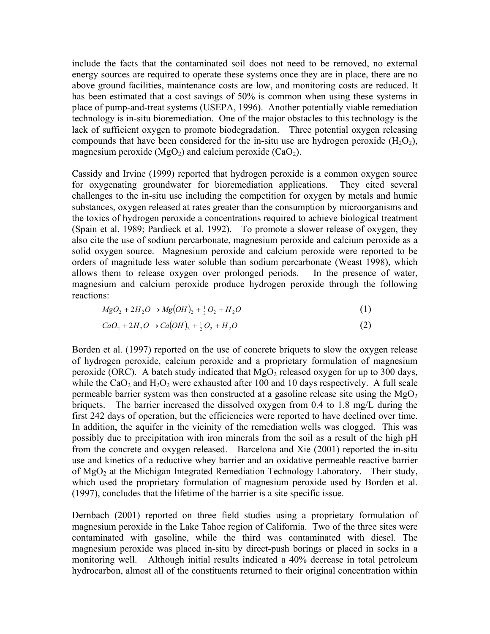include the facts that the contaminated soil does not need to be removed, no external energy sources are required to operate these systems once they are in place, there are no above ground facilities, maintenance costs are low, and monitoring costs are reduced. It has been estimated that a cost savings of 50% is common when using these systems in place of pump-and-treat systems (USEPA, 1996). Another potentially viable remediation technology is in-situ bioremediation. One of the major obstacles to this technology is the lack of sufficient oxygen to promote biodegradation. Three potential oxygen releasing compounds that have been considered for the in-situ use are hydrogen peroxide  $(H_2O_2)$ , magnesium peroxide ( $MgO<sub>2</sub>$ ) and calcium peroxide (CaO<sub>2</sub>).

Cassidy and Irvine (1999) reported that hydrogen peroxide is a common oxygen source for oxygenating groundwater for bioremediation applications. They cited several challenges to the in-situ use including the competition for oxygen by metals and humic substances, oxygen released at rates greater than the consumption by microorganisms and the toxics of hydrogen peroxide a concentrations required to achieve biological treatment (Spain et al. 1989; Pardieck et al. 1992). To promote a slower release of oxygen, they also cite the use of sodium percarbonate, magnesium peroxide and calcium peroxide as a solid oxygen source. Magnesium peroxide and calcium peroxide were reported to be orders of magnitude less water soluble than sodium percarbonate (Weast 1998), which allows them to release oxygen over prolonged periods. In the presence of water, magnesium and calcium peroxide produce hydrogen peroxide through the following reactions:

$$
MgO_2 + 2H_2O \to Mg(OH)_2 + \frac{1}{2}O_2 + H_2O
$$
 (1)

$$
CaO2 + 2H2O \to Ca(OH)2 + \frac{1}{2}O2 + H2O
$$
 (2)

Borden et al. (1997) reported on the use of concrete briquets to slow the oxygen release of hydrogen peroxide, calcium peroxide and a proprietary formulation of magnesium peroxide (ORC). A batch study indicated that  $MgO<sub>2</sub>$  released oxygen for up to 300 days, while the CaO<sub>2</sub> and  $H_2O_2$  were exhausted after 100 and 10 days respectively. A full scale permeable barrier system was then constructed at a gasoline release site using the  $MgO<sub>2</sub>$ briquets. The barrier increased the dissolved oxygen from 0.4 to 1.8 mg/L during the first 242 days of operation, but the efficiencies were reported to have declined over time. In addition, the aquifer in the vicinity of the remediation wells was clogged. This was possibly due to precipitation with iron minerals from the soil as a result of the high pH from the concrete and oxygen released. Barcelona and Xie (2001) reported the in-situ use and kinetics of a reductive whey barrier and an oxidative permeable reactive barrier of MgO<sub>2</sub> at the Michigan Integrated Remediation Technology Laboratory. Their study, which used the proprietary formulation of magnesium peroxide used by Borden et al. (1997), concludes that the lifetime of the barrier is a site specific issue.

Dernbach (2001) reported on three field studies using a proprietary formulation of magnesium peroxide in the Lake Tahoe region of California. Two of the three sites were contaminated with gasoline, while the third was contaminated with diesel. The magnesium peroxide was placed in-situ by direct-push borings or placed in socks in a monitoring well. Although initial results indicated a 40% decrease in total petroleum hydrocarbon, almost all of the constituents returned to their original concentration within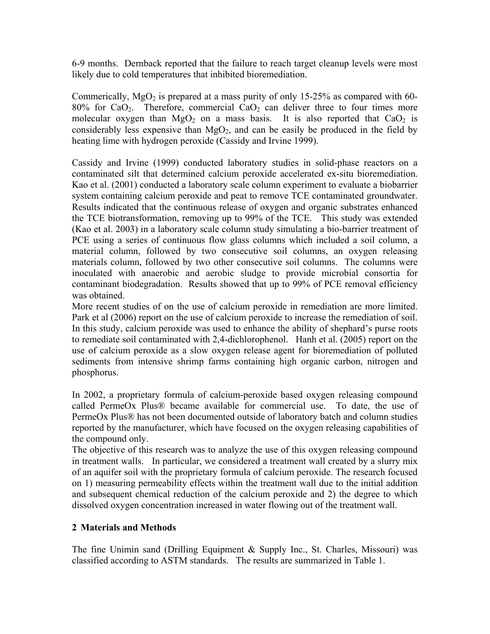6-9 months. Dernback reported that the failure to reach target cleanup levels were most likely due to cold temperatures that inhibited bioremediation.

Commerically,  $MgO<sub>2</sub>$  is prepared at a mass purity of only 15-25% as compared with 60- $80\%$  for CaO<sub>2</sub>. Therefore, commercial CaO<sub>2</sub> can deliver three to four times more molecular oxygen than  $MgO<sub>2</sub>$  on a mass basis. It is also reported that  $CaO<sub>2</sub>$  is considerably less expensive than  $MgO<sub>2</sub>$ , and can be easily be produced in the field by heating lime with hydrogen peroxide (Cassidy and Irvine 1999).

Cassidy and Irvine (1999) conducted laboratory studies in solid-phase reactors on a contaminated silt that determined calcium peroxide accelerated ex-situ bioremediation. Kao et al. (2001) conducted a laboratory scale column experiment to evaluate a biobarrier system containing calcium peroxide and peat to remove TCE contaminated groundwater. Results indicated that the continuous release of oxygen and organic substrates enhanced the TCE biotransformation, removing up to 99% of the TCE. This study was extended (Kao et al. 2003) in a laboratory scale column study simulating a bio-barrier treatment of PCE using a series of continuous flow glass columns which included a soil column, a material column, followed by two consecutive soil columns, an oxygen releasing materials column, followed by two other consecutive soil columns. The columns were inoculated with anaerobic and aerobic sludge to provide microbial consortia for contaminant biodegradation. Results showed that up to 99% of PCE removal efficiency was obtained.

More recent studies of on the use of calcium peroxide in remediation are more limited. Park et al (2006) report on the use of calcium peroxide to increase the remediation of soil. In this study, calcium peroxide was used to enhance the ability of shephard's purse roots to remediate soil contaminated with 2,4-dichlorophenol. Hanh et al. (2005) report on the use of calcium peroxide as a slow oxygen release agent for bioremediation of polluted sediments from intensive shrimp farms containing high organic carbon, nitrogen and phosphorus.

In 2002, a proprietary formula of calcium-peroxide based oxygen releasing compound called PermeOx Plus® became available for commercial use. To date, the use of PermeOx Plus® has not been documented outside of laboratory batch and column studies reported by the manufacturer, which have focused on the oxygen releasing capabilities of the compound only.

The objective of this research was to analyze the use of this oxygen releasing compound in treatment walls. In particular, we considered a treatment wall created by a slurry mix of an aquifer soil with the proprietary formula of calcium peroxide. The research focused on 1) measuring permeability effects within the treatment wall due to the initial addition and subsequent chemical reduction of the calcium peroxide and 2) the degree to which dissolved oxygen concentration increased in water flowing out of the treatment wall.

## **2 Materials and Methods**

The fine Unimin sand (Drilling Equipment & Supply Inc., St. Charles, Missouri) was classified according to ASTM standards. The results are summarized in Table 1.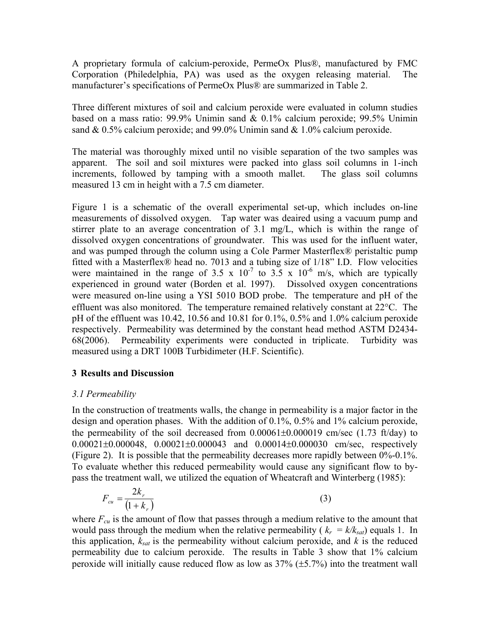A proprietary formula of calcium-peroxide, PermeOx Plus®, manufactured by FMC Corporation (Philedelphia, PA) was used as the oxygen releasing material. The manufacturer's specifications of PermeOx Plus® are summarized in Table 2.

Three different mixtures of soil and calcium peroxide were evaluated in column studies based on a mass ratio: 99.9% Unimin sand & 0.1% calcium peroxide; 99.5% Unimin sand  $\&$  0.5% calcium peroxide; and 99.0% Unimin sand  $\&$  1.0% calcium peroxide.

The material was thoroughly mixed until no visible separation of the two samples was apparent. The soil and soil mixtures were packed into glass soil columns in 1-inch increments, followed by tamping with a smooth mallet. The glass soil columns measured 13 cm in height with a 7.5 cm diameter.

Figure 1 is a schematic of the overall experimental set-up, which includes on-line measurements of dissolved oxygen. Tap water was deaired using a vacuum pump and stirrer plate to an average concentration of 3.1 mg/L, which is within the range of dissolved oxygen concentrations of groundwater. This was used for the influent water, and was pumped through the column using a Cole Parmer Masterflex® peristaltic pump fitted with a Masterflex® head no. 7013 and a tubing size of 1/18" I.D. Flow velocities were maintained in the range of 3.5 x  $10^{-7}$  to 3.5 x  $10^{-6}$  m/s, which are typically experienced in ground water (Borden et al. 1997). Dissolved oxygen concentrations were measured on-line using a YSI 5010 BOD probe. The temperature and pH of the effluent was also monitored. The temperature remained relatively constant at 22°C. The pH of the effluent was 10.42, 10.56 and 10.81 for 0.1%, 0.5% and 1.0% calcium peroxide respectively. Permeability was determined by the constant head method ASTM D2434- 68(2006). Permeability experiments were conducted in triplicate. Turbidity was measured using a DRT 100B Turbidimeter (H.F. Scientific).

## **3 Results and Discussion**

## *3.1 Permeability*

In the construction of treatments walls, the change in permeability is a major factor in the design and operation phases. With the addition of 0.1%, 0.5% and 1% calcium peroxide, the permeability of the soil decreased from  $0.00061\pm0.000019$  cm/sec  $(1.73 \text{ ft/day})$  to 0.00021±0.000048, 0.00021±0.000043 and 0.00014±0.000030 cm/sec, respectively (Figure 2). It is possible that the permeability decreases more rapidly between 0%-0.1%. To evaluate whether this reduced permeability would cause any significant flow to bypass the treatment wall, we utilized the equation of Wheatcraft and Winterberg (1985):

$$
F_{cu} = \frac{2k_r}{\left(1 + k_r\right)}\tag{3}
$$

where  $F_{cu}$  is the amount of flow that passes through a medium relative to the amount that would pass through the medium when the relative permeability ( $k_r = k/k_{sat}$ ) equals 1. In this application,  $k_{sat}$  is the permeability without calcium peroxide, and  $k$  is the reduced permeability due to calcium peroxide. The results in Table 3 show that 1% calcium peroxide will initially cause reduced flow as low as  $37\%$  ( $\pm$ 5.7%) into the treatment wall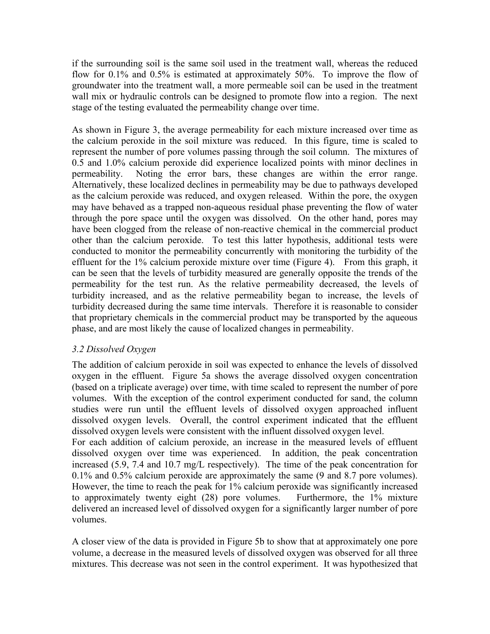if the surrounding soil is the same soil used in the treatment wall, whereas the reduced flow for 0.1% and 0.5% is estimated at approximately 50%. To improve the flow of groundwater into the treatment wall, a more permeable soil can be used in the treatment wall mix or hydraulic controls can be designed to promote flow into a region. The next stage of the testing evaluated the permeability change over time.

As shown in Figure 3, the average permeability for each mixture increased over time as the calcium peroxide in the soil mixture was reduced. In this figure, time is scaled to represent the number of pore volumes passing through the soil column. The mixtures of 0.5 and 1.0% calcium peroxide did experience localized points with minor declines in permeability. Noting the error bars, these changes are within the error range. Alternatively, these localized declines in permeability may be due to pathways developed as the calcium peroxide was reduced, and oxygen released. Within the pore, the oxygen may have behaved as a trapped non-aqueous residual phase preventing the flow of water through the pore space until the oxygen was dissolved. On the other hand, pores may have been clogged from the release of non-reactive chemical in the commercial product other than the calcium peroxide. To test this latter hypothesis, additional tests were conducted to monitor the permeability concurrently with monitoring the turbidity of the effluent for the 1% calcium peroxide mixture over time (Figure 4). From this graph, it can be seen that the levels of turbidity measured are generally opposite the trends of the permeability for the test run. As the relative permeability decreased, the levels of turbidity increased, and as the relative permeability began to increase, the levels of turbidity decreased during the same time intervals. Therefore it is reasonable to consider that proprietary chemicals in the commercial product may be transported by the aqueous phase, and are most likely the cause of localized changes in permeability.

## *3.2 Dissolved Oxygen*

The addition of calcium peroxide in soil was expected to enhance the levels of dissolved oxygen in the effluent. Figure 5a shows the average dissolved oxygen concentration (based on a triplicate average) over time, with time scaled to represent the number of pore volumes. With the exception of the control experiment conducted for sand, the column studies were run until the effluent levels of dissolved oxygen approached influent dissolved oxygen levels. Overall, the control experiment indicated that the effluent dissolved oxygen levels were consistent with the influent dissolved oxygen level.

For each addition of calcium peroxide, an increase in the measured levels of effluent dissolved oxygen over time was experienced. In addition, the peak concentration increased (5.9, 7.4 and 10.7 mg/L respectively). The time of the peak concentration for 0.1% and 0.5% calcium peroxide are approximately the same (9 and 8.7 pore volumes). However, the time to reach the peak for 1% calcium peroxide was significantly increased to approximately twenty eight (28) pore volumes. Furthermore, the 1% mixture delivered an increased level of dissolved oxygen for a significantly larger number of pore volumes.

A closer view of the data is provided in Figure 5b to show that at approximately one pore volume, a decrease in the measured levels of dissolved oxygen was observed for all three mixtures. This decrease was not seen in the control experiment. It was hypothesized that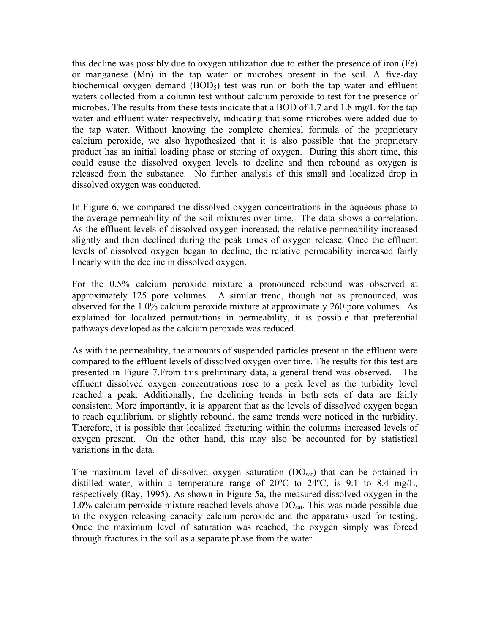this decline was possibly due to oxygen utilization due to either the presence of iron (Fe) or manganese (Mn) in the tap water or microbes present in the soil. A five-day biochemical oxygen demand  $(BOD<sub>5</sub>)$  test was run on both the tap water and effluent waters collected from a column test without calcium peroxide to test for the presence of microbes. The results from these tests indicate that a BOD of 1.7 and 1.8 mg/L for the tap water and effluent water respectively, indicating that some microbes were added due to the tap water. Without knowing the complete chemical formula of the proprietary calcium peroxide, we also hypothesized that it is also possible that the proprietary product has an initial loading phase or storing of oxygen. During this short time, this could cause the dissolved oxygen levels to decline and then rebound as oxygen is released from the substance. No further analysis of this small and localized drop in dissolved oxygen was conducted.

In Figure 6, we compared the dissolved oxygen concentrations in the aqueous phase to the average permeability of the soil mixtures over time. The data shows a correlation. As the effluent levels of dissolved oxygen increased, the relative permeability increased slightly and then declined during the peak times of oxygen release. Once the effluent levels of dissolved oxygen began to decline, the relative permeability increased fairly linearly with the decline in dissolved oxygen.

For the 0.5% calcium peroxide mixture a pronounced rebound was observed at approximately 125 pore volumes. A similar trend, though not as pronounced, was observed for the 1.0% calcium peroxide mixture at approximately 260 pore volumes. As explained for localized permutations in permeability, it is possible that preferential pathways developed as the calcium peroxide was reduced.

As with the permeability, the amounts of suspended particles present in the effluent were compared to the effluent levels of dissolved oxygen over time. The results for this test are presented in Figure 7.From this preliminary data, a general trend was observed. The effluent dissolved oxygen concentrations rose to a peak level as the turbidity level reached a peak. Additionally, the declining trends in both sets of data are fairly consistent. More importantly, it is apparent that as the levels of dissolved oxygen began to reach equilibrium, or slightly rebound, the same trends were noticed in the turbidity. Therefore, it is possible that localized fracturing within the columns increased levels of oxygen present. On the other hand, this may also be accounted for by statistical variations in the data.

The maximum level of dissolved oxygen saturation  $(DO<sub>sat</sub>)$  that can be obtained in distilled water, within a temperature range of 20ºC to 24ºC, is 9.1 to 8.4 mg/L, respectively (Ray, 1995). As shown in Figure 5a, the measured dissolved oxygen in the 1.0% calcium peroxide mixture reached levels above  $DO<sub>sat</sub>$ . This was made possible due to the oxygen releasing capacity calcium peroxide and the apparatus used for testing. Once the maximum level of saturation was reached, the oxygen simply was forced through fractures in the soil as a separate phase from the water.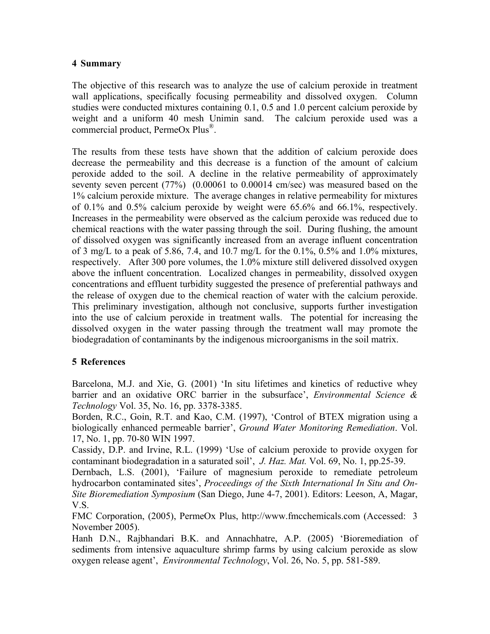#### **4 Summary**

The objective of this research was to analyze the use of calcium peroxide in treatment wall applications, specifically focusing permeability and dissolved oxygen. Column studies were conducted mixtures containing 0.1, 0.5 and 1.0 percent calcium peroxide by weight and a uniform 40 mesh Unimin sand. The calcium peroxide used was a commercial product, PermeOx Plus®.

The results from these tests have shown that the addition of calcium peroxide does decrease the permeability and this decrease is a function of the amount of calcium peroxide added to the soil. A decline in the relative permeability of approximately seventy seven percent (77%) (0.00061 to 0.00014 cm/sec) was measured based on the 1% calcium peroxide mixture. The average changes in relative permeability for mixtures of 0.1% and 0.5% calcium peroxide by weight were 65.6% and 66.1%, respectively. Increases in the permeability were observed as the calcium peroxide was reduced due to chemical reactions with the water passing through the soil. During flushing, the amount of dissolved oxygen was significantly increased from an average influent concentration of 3 mg/L to a peak of 5.86, 7.4, and 10.7 mg/L for the 0.1%, 0.5% and 1.0% mixtures, respectively. After 300 pore volumes, the 1.0% mixture still delivered dissolved oxygen above the influent concentration. Localized changes in permeability, dissolved oxygen concentrations and effluent turbidity suggested the presence of preferential pathways and the release of oxygen due to the chemical reaction of water with the calcium peroxide. This preliminary investigation, although not conclusive, supports further investigation into the use of calcium peroxide in treatment walls. The potential for increasing the dissolved oxygen in the water passing through the treatment wall may promote the biodegradation of contaminants by the indigenous microorganisms in the soil matrix.

## **5 References**

Barcelona, M.J. and Xie, G. (2001) 'In situ lifetimes and kinetics of reductive whey barrier and an oxidative ORC barrier in the subsurface', *Environmental Science & Technology* Vol. 35, No. 16, pp. 3378-3385.

Borden, R.C., Goin, R.T. and Kao, C.M. (1997), 'Control of BTEX migration using a biologically enhanced permeable barrier', *Ground Water Monitoring Remediation*. Vol. 17, No. 1, pp. 70-80 WIN 1997.

Cassidy, D.P. and Irvine, R.L. (1999) 'Use of calcium peroxide to provide oxygen for contaminant biodegradation in a saturated soil', *J. Haz. Mat.* Vol. 69, No. 1, pp.25-39.

Dernbach, L.S. (2001), 'Failure of magnesium peroxide to remediate petroleum hydrocarbon contaminated sites', *Proceedings of the Sixth International In Situ and On-Site Bioremediation Symposium* (San Diego, June 4-7, 2001). Editors: Leeson, A, Magar, V.S.

FMC Corporation, (2005), PermeOx Plus, http://www.fmcchemicals.com (Accessed: 3 November 2005).

Hanh D.N., Rajbhandari B.K. and Annachhatre, A.P. (2005) 'Bioremediation of sediments from intensive aquaculture shrimp farms by using calcium peroxide as slow oxygen release agent', *Environmental Technology*, Vol. 26, No. 5, pp. 581-589.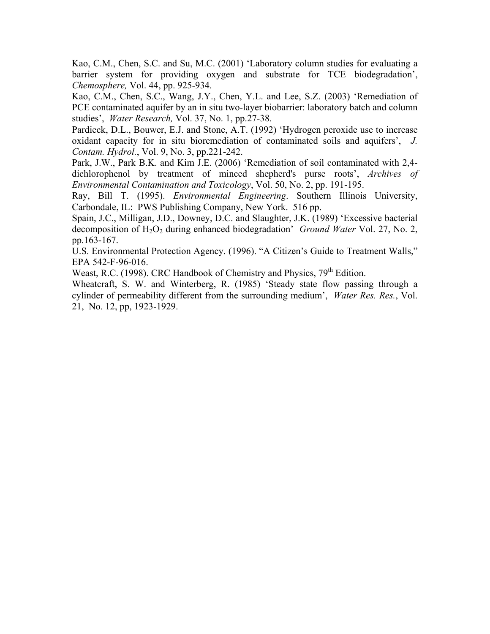Kao, C.M., Chen, S.C. and Su, M.C. (2001) 'Laboratory column studies for evaluating a barrier system for providing oxygen and substrate for TCE biodegradation', *Chemosphere,* Vol. 44, pp. 925-934.

Kao, C.M., Chen, S.C., Wang, J.Y., Chen, Y.L. and Lee, S.Z. (2003) 'Remediation of PCE contaminated aquifer by an in situ two-layer biobarrier: laboratory batch and column studies', *Water Research,* Vol. 37, No. 1, pp.27-38.

Pardieck, D.L., Bouwer, E.J. and Stone, A.T. (1992) 'Hydrogen peroxide use to increase oxidant capacity for in situ bioremediation of contaminated soils and aquifers', *J. Contam. Hydrol.*, Vol. 9, No. 3, pp.221-242.

Park, J.W., Park B.K. and Kim J.E. (2006) 'Remediation of soil contaminated with 2,4 dichlorophenol by treatment of minced shepherd's purse roots', *Archives of Environmental Contamination and Toxicology*, Vol. 50, No. 2, pp. 191-195.

Ray, Bill T. (1995). *Environmental Engineering*. Southern Illinois University, Carbondale, IL: PWS Publishing Company, New York. 516 pp.

Spain, J.C., Milligan, J.D., Downey, D.C. and Slaughter, J.K. (1989) 'Excessive bacterial decomposition of H<sub>2</sub>O<sub>2</sub> during enhanced biodegradation' *Ground Water* Vol. 27, No. 2, pp.163-167.

U.S. Environmental Protection Agency. (1996). "A Citizen's Guide to Treatment Walls," EPA 542-F-96-016.

Weast, R.C. (1998). CRC Handbook of Chemistry and Physics, 79<sup>th</sup> Edition.

Wheatcraft, S. W. and Winterberg, R. (1985) 'Steady state flow passing through a cylinder of permeability different from the surrounding medium', *Water Res. Res.*, Vol. 21, No. 12, pp, 1923-1929.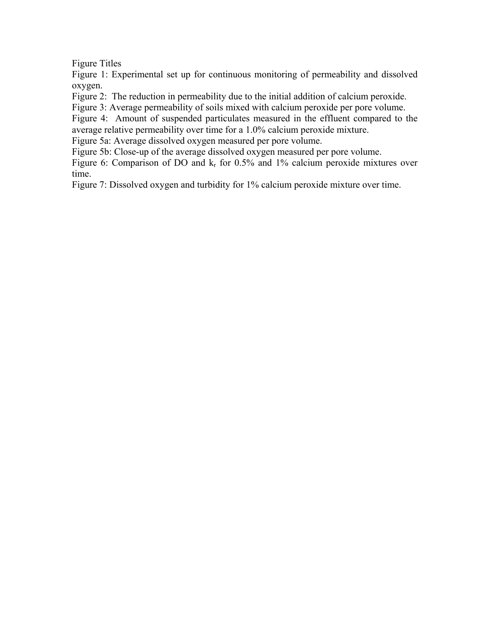Figure Titles

Figure 1: Experimental set up for continuous monitoring of permeability and dissolved oxygen.

Figure 2: The reduction in permeability due to the initial addition of calcium peroxide.

Figure 3: Average permeability of soils mixed with calcium peroxide per pore volume.

Figure 4: Amount of suspended particulates measured in the effluent compared to the average relative permeability over time for a 1.0% calcium peroxide mixture.

Figure 5a: Average dissolved oxygen measured per pore volume.

Figure 5b: Close-up of the average dissolved oxygen measured per pore volume.

Figure 6: Comparison of DO and  $k_r$  for 0.5% and 1% calcium peroxide mixtures over time.

Figure 7: Dissolved oxygen and turbidity for 1% calcium peroxide mixture over time.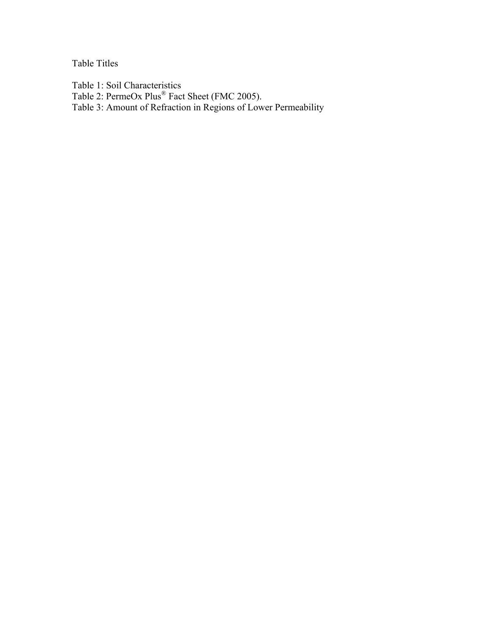Table Titles

Table 1: Soil Characteristics

Table 2: PermeOx Plus<sup>®</sup> Fact Sheet (FMC 2005).

Table 3: Amount of Refraction in Regions of Lower Permeability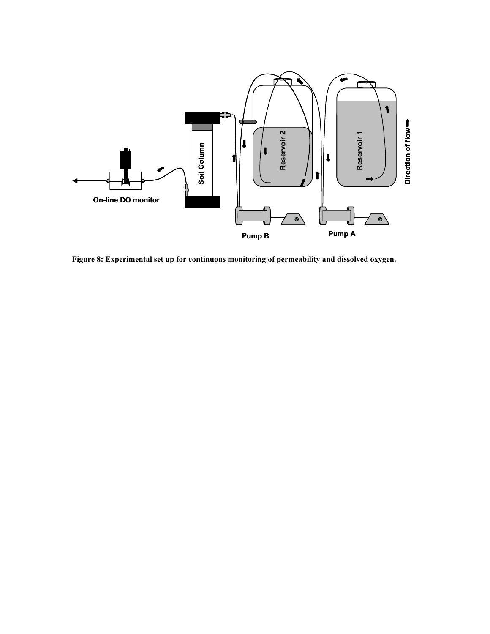

**igure 8: Experimental set up for continuous monitoring of permeability and dissolved oxygen. F**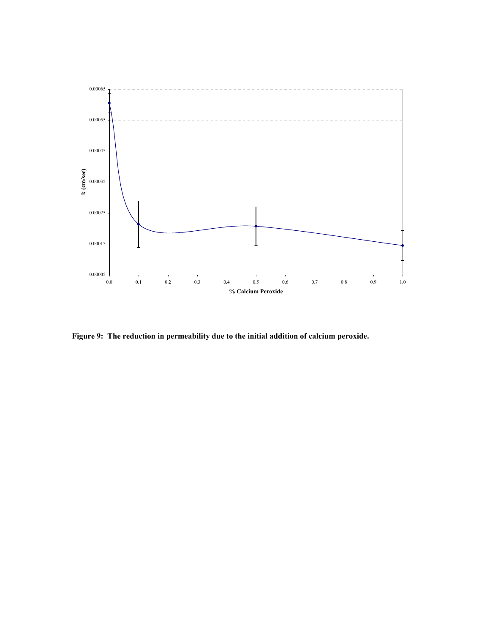

**Figure 9: The reduction in permeability due to the initial addition of calcium peroxide.**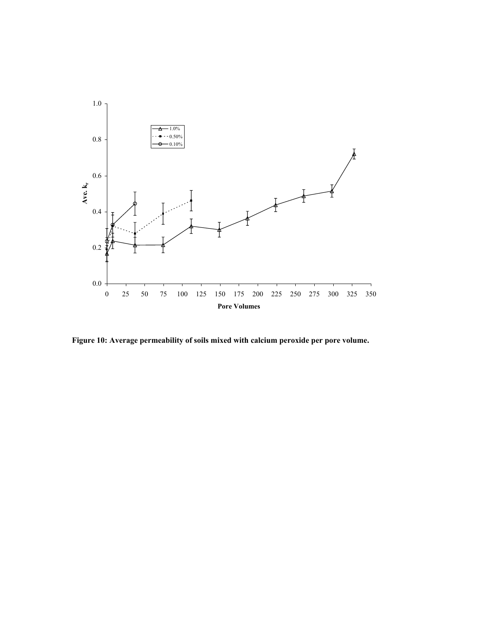

**igure 10: Average permeability of soils mixed with calcium peroxide per pore volume. F**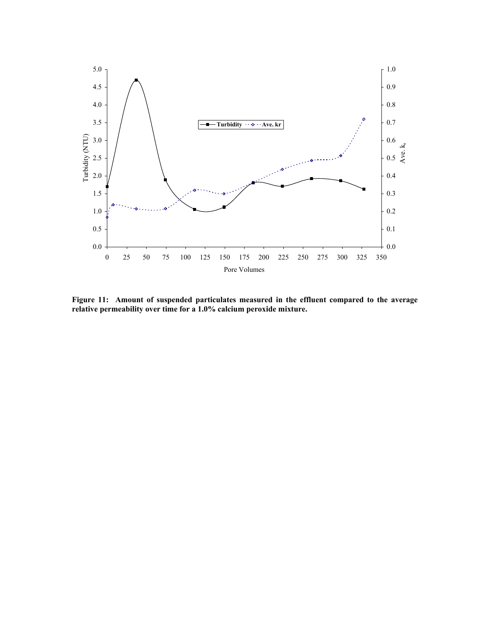

**Figure 11: Amount of suspended particulates measured in the effluent compared to the average relative permeability over time for a 1.0% calcium peroxide mixture.**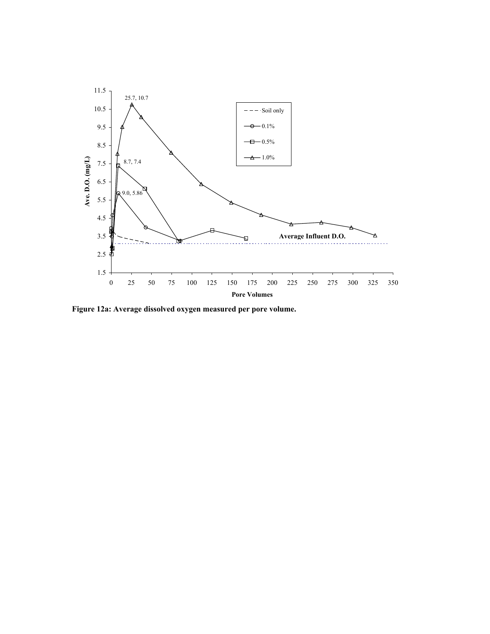

**Figure 12a: Average dissolved oxygen measured per pore volume.**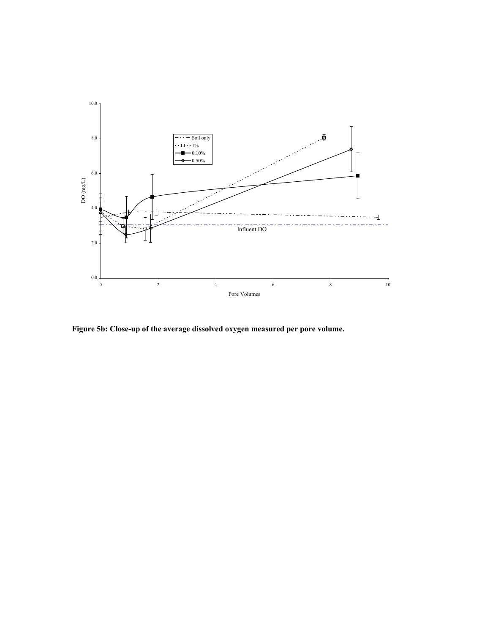

**Figure 5b: Close-up of the average dissolved oxygen measured per pore volume.**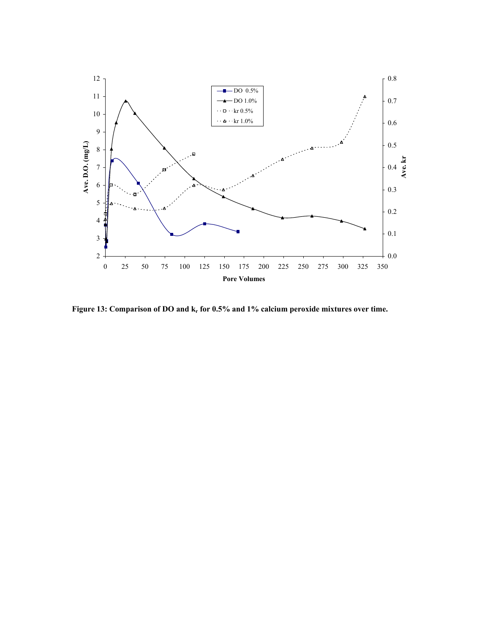

Figure 13: Comparison of DO and k<sub>r</sub> for 0.5% and 1% calcium peroxide mixtures over time.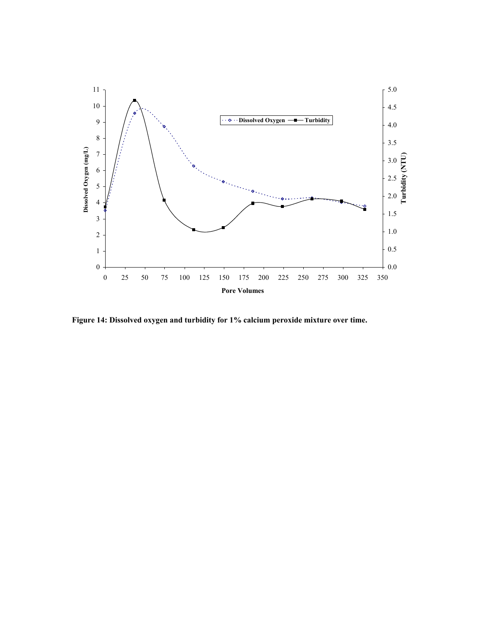

**Figure 14: Dissolved oxygen and turbidity for 1% calcium peroxide mixture over time.**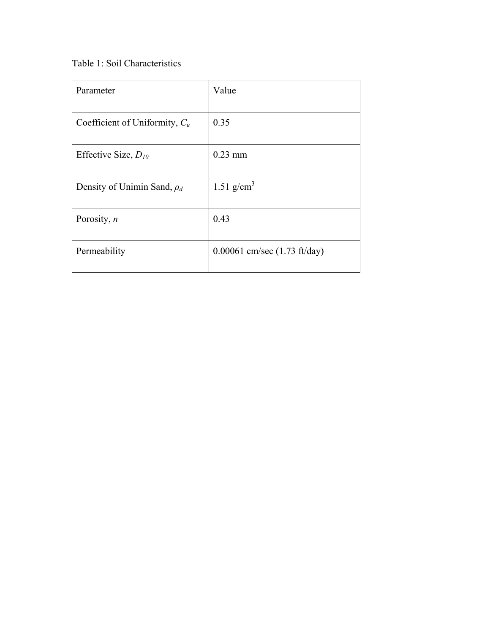Table 1: Soil Characteristics

| Parameter                        | Value                                  |
|----------------------------------|----------------------------------------|
| Coefficient of Uniformity, $C_u$ | 0.35                                   |
| Effective Size, $D_{10}$         | $0.23$ mm                              |
| Density of Unimin Sand, $\rho_d$ | 1.51 $g/cm^3$                          |
| Porosity, $n$                    | 0.43                                   |
| Permeability                     | 0.00061 cm/sec $(1.73 \text{ ft/day})$ |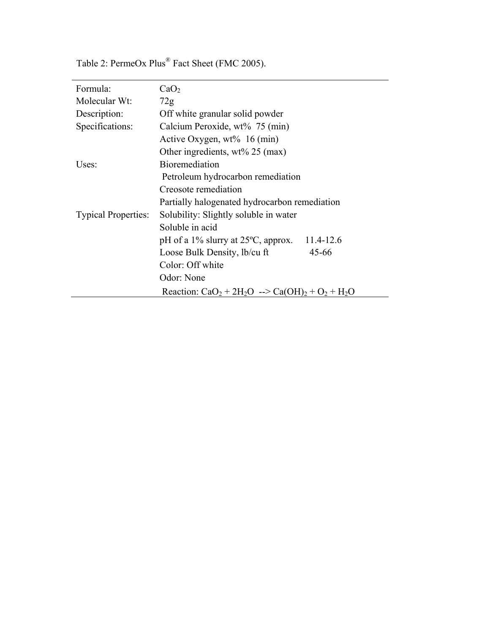| Formula:                   | CaO <sub>2</sub>                                            |  |
|----------------------------|-------------------------------------------------------------|--|
| Molecular Wt:              | 72g                                                         |  |
| Description:               | Off white granular solid powder                             |  |
| Specifications:            | Calcium Peroxide, wt% 75 (min)                              |  |
|                            | Active Oxygen, $wt\%$ 16 (min)                              |  |
|                            | Other ingredients, $wt\%$ 25 (max)                          |  |
| Uses:                      | <b>Bioremediation</b>                                       |  |
|                            | Petroleum hydrocarbon remediation                           |  |
|                            | Creosote remediation                                        |  |
|                            | Partially halogenated hydrocarbon remediation               |  |
| <b>Typical Properties:</b> | Solubility: Slightly soluble in water                       |  |
|                            | Soluble in acid                                             |  |
|                            | 11.4-12.6<br>pH of a $1\%$ slurry at $25\degree$ C, approx. |  |
|                            | Loose Bulk Density, lb/cu ft<br>$45 - 66$                   |  |
|                            | Color: Off white                                            |  |
|                            | Odor: None                                                  |  |
|                            | Reaction: $CaO2 + 2H2O \rightarrow Ca(OH)2 + O2 + H2O$      |  |

Table 2: PermeOx Plus® Fact Sheet (FMC 2005).